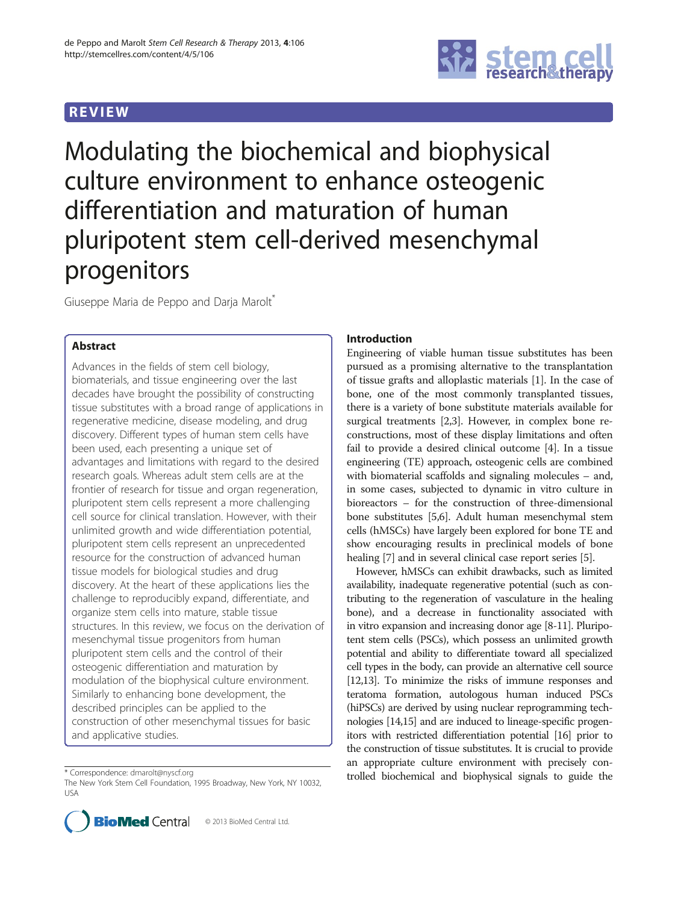# REVIEW



Modulating the biochemical and biophysical culture environment to enhance osteogenic differentiation and maturation of human pluripotent stem cell-derived mesenchymal progenitors

Giuseppe Maria de Peppo and Darja Marolt<sup>\*</sup>

# Abstract

Advances in the fields of stem cell biology, biomaterials, and tissue engineering over the last decades have brought the possibility of constructing tissue substitutes with a broad range of applications in regenerative medicine, disease modeling, and drug discovery. Different types of human stem cells have been used, each presenting a unique set of advantages and limitations with regard to the desired research goals. Whereas adult stem cells are at the frontier of research for tissue and organ regeneration, pluripotent stem cells represent a more challenging cell source for clinical translation. However, with their unlimited growth and wide differentiation potential, pluripotent stem cells represent an unprecedented resource for the construction of advanced human tissue models for biological studies and drug discovery. At the heart of these applications lies the challenge to reproducibly expand, differentiate, and organize stem cells into mature, stable tissue structures. In this review, we focus on the derivation of mesenchymal tissue progenitors from human pluripotent stem cells and the control of their osteogenic differentiation and maturation by modulation of the biophysical culture environment. Similarly to enhancing bone development, the described principles can be applied to the construction of other mesenchymal tissues for basic and applicative studies.

\* Correspondence: [dmarolt@nyscf.org](mailto:dmarolt@nyscf.org)

The New York Stem Cell Foundation, 1995 Broadway, New York, NY 10032, USA



### Introduction

Engineering of viable human tissue substitutes has been pursued as a promising alternative to the transplantation of tissue grafts and alloplastic materials [\[1\]](#page-8-0). In the case of bone, one of the most commonly transplanted tissues, there is a variety of bone substitute materials available for surgical treatments [\[2,3\]](#page-8-0). However, in complex bone reconstructions, most of these display limitations and often fail to provide a desired clinical outcome [\[4](#page-8-0)]. In a tissue engineering (TE) approach, osteogenic cells are combined with biomaterial scaffolds and signaling molecules – and, in some cases, subjected to dynamic in vitro culture in bioreactors – for the construction of three-dimensional bone substitutes [\[5,6\]](#page-8-0). Adult human mesenchymal stem cells (hMSCs) have largely been explored for bone TE and show encouraging results in preclinical models of bone healing [\[7](#page-8-0)] and in several clinical case report series [[5\]](#page-8-0).

However, hMSCs can exhibit drawbacks, such as limited availability, inadequate regenerative potential (such as contributing to the regeneration of vasculature in the healing bone), and a decrease in functionality associated with in vitro expansion and increasing donor age [\[8-11\]](#page-8-0). Pluripotent stem cells (PSCs), which possess an unlimited growth potential and ability to differentiate toward all specialized cell types in the body, can provide an alternative cell source [[12,13](#page-8-0)]. To minimize the risks of immune responses and teratoma formation, autologous human induced PSCs (hiPSCs) are derived by using nuclear reprogramming technologies [[14,15](#page-8-0)] and are induced to lineage-specific progenitors with restricted differentiation potential [\[16](#page-8-0)] prior to the construction of tissue substitutes. It is crucial to provide an appropriate culture environment with precisely controlled biochemical and biophysical signals to guide the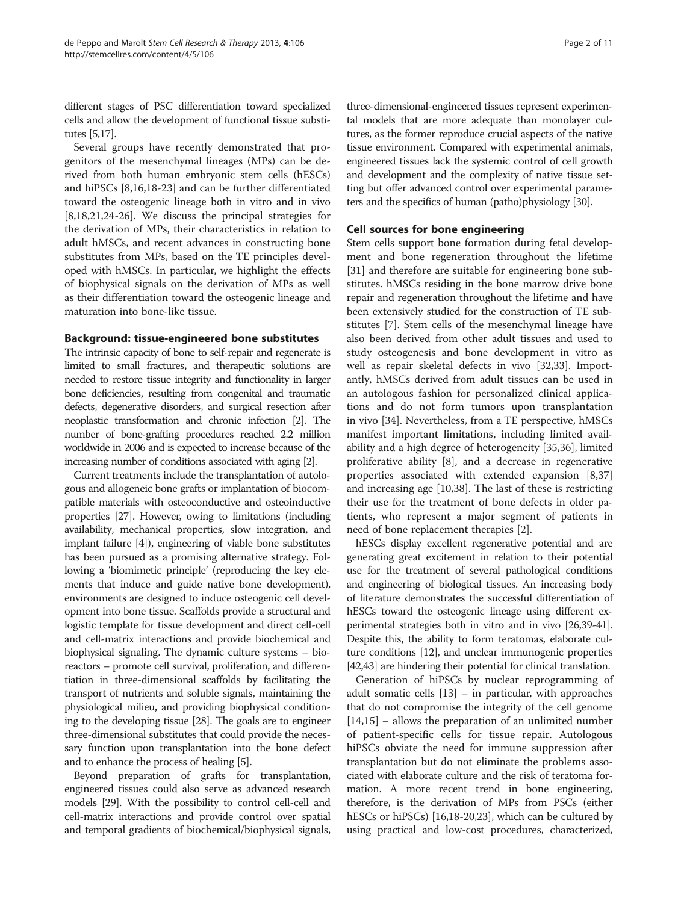different stages of PSC differentiation toward specialized cells and allow the development of functional tissue substitutes [\[5,17](#page-8-0)].

Several groups have recently demonstrated that progenitors of the mesenchymal lineages (MPs) can be derived from both human embryonic stem cells (hESCs) and hiPSCs [\[8](#page-8-0),[16,18](#page-8-0)-[23\]](#page-8-0) and can be further differentiated toward the osteogenic lineage both in vitro and in vivo [[8,18,21,](#page-8-0)[24-26](#page-9-0)]. We discuss the principal strategies for the derivation of MPs, their characteristics in relation to adult hMSCs, and recent advances in constructing bone substitutes from MPs, based on the TE principles developed with hMSCs. In particular, we highlight the effects of biophysical signals on the derivation of MPs as well as their differentiation toward the osteogenic lineage and maturation into bone-like tissue.

### Background: tissue-engineered bone substitutes

The intrinsic capacity of bone to self-repair and regenerate is limited to small fractures, and therapeutic solutions are needed to restore tissue integrity and functionality in larger bone deficiencies, resulting from congenital and traumatic defects, degenerative disorders, and surgical resection after neoplastic transformation and chronic infection [\[2](#page-8-0)]. The number of bone-grafting procedures reached 2.2 million worldwide in 2006 and is expected to increase because of the increasing number of conditions associated with aging [\[2\]](#page-8-0).

Current treatments include the transplantation of autologous and allogeneic bone grafts or implantation of biocompatible materials with osteoconductive and osteoinductive properties [[27](#page-9-0)]. However, owing to limitations (including availability, mechanical properties, slow integration, and implant failure [\[4\]](#page-8-0)), engineering of viable bone substitutes has been pursued as a promising alternative strategy. Following a 'biomimetic principle' (reproducing the key elements that induce and guide native bone development), environments are designed to induce osteogenic cell development into bone tissue. Scaffolds provide a structural and logistic template for tissue development and direct cell-cell and cell-matrix interactions and provide biochemical and biophysical signaling. The dynamic culture systems – bioreactors – promote cell survival, proliferation, and differentiation in three-dimensional scaffolds by facilitating the transport of nutrients and soluble signals, maintaining the physiological milieu, and providing biophysical conditioning to the developing tissue [[28](#page-9-0)]. The goals are to engineer three-dimensional substitutes that could provide the necessary function upon transplantation into the bone defect and to enhance the process of healing [\[5](#page-8-0)].

Beyond preparation of grafts for transplantation, engineered tissues could also serve as advanced research models [\[29\]](#page-9-0). With the possibility to control cell-cell and cell-matrix interactions and provide control over spatial and temporal gradients of biochemical/biophysical signals, three-dimensional-engineered tissues represent experimental models that are more adequate than monolayer cultures, as the former reproduce crucial aspects of the native tissue environment. Compared with experimental animals, engineered tissues lack the systemic control of cell growth and development and the complexity of native tissue setting but offer advanced control over experimental parame-

ters and the specifics of human (patho)physiology [\[30\]](#page-9-0).

### Cell sources for bone engineering

Stem cells support bone formation during fetal development and bone regeneration throughout the lifetime [[31\]](#page-9-0) and therefore are suitable for engineering bone substitutes. hMSCs residing in the bone marrow drive bone repair and regeneration throughout the lifetime and have been extensively studied for the construction of TE substitutes [[7\]](#page-8-0). Stem cells of the mesenchymal lineage have also been derived from other adult tissues and used to study osteogenesis and bone development in vitro as well as repair skeletal defects in vivo [[32,33](#page-9-0)]. Importantly, hMSCs derived from adult tissues can be used in an autologous fashion for personalized clinical applications and do not form tumors upon transplantation in vivo [\[34](#page-9-0)]. Nevertheless, from a TE perspective, hMSCs manifest important limitations, including limited availability and a high degree of heterogeneity [\[35,36\]](#page-9-0), limited proliferative ability [[8\]](#page-8-0), and a decrease in regenerative properties associated with extended expansion [[8](#page-8-0),[37](#page-9-0)] and increasing age [[10,](#page-8-0)[38](#page-9-0)]. The last of these is restricting their use for the treatment of bone defects in older patients, who represent a major segment of patients in need of bone replacement therapies [\[2](#page-8-0)].

hESCs display excellent regenerative potential and are generating great excitement in relation to their potential use for the treatment of several pathological conditions and engineering of biological tissues. An increasing body of literature demonstrates the successful differentiation of hESCs toward the osteogenic lineage using different experimental strategies both in vitro and in vivo [\[26,39-41](#page-9-0)]. Despite this, the ability to form teratomas, elaborate culture conditions [\[12\]](#page-8-0), and unclear immunogenic properties [[42,43\]](#page-9-0) are hindering their potential for clinical translation.

Generation of hiPSCs by nuclear reprogramming of adult somatic cells  $[13]$  $[13]$  – in particular, with approaches that do not compromise the integrity of the cell genome [[14,15\]](#page-8-0) – allows the preparation of an unlimited number of patient-specific cells for tissue repair. Autologous hiPSCs obviate the need for immune suppression after transplantation but do not eliminate the problems associated with elaborate culture and the risk of teratoma formation. A more recent trend in bone engineering, therefore, is the derivation of MPs from PSCs (either hESCs or hiPSCs) [[16,18-20,23\]](#page-8-0), which can be cultured by using practical and low-cost procedures, characterized,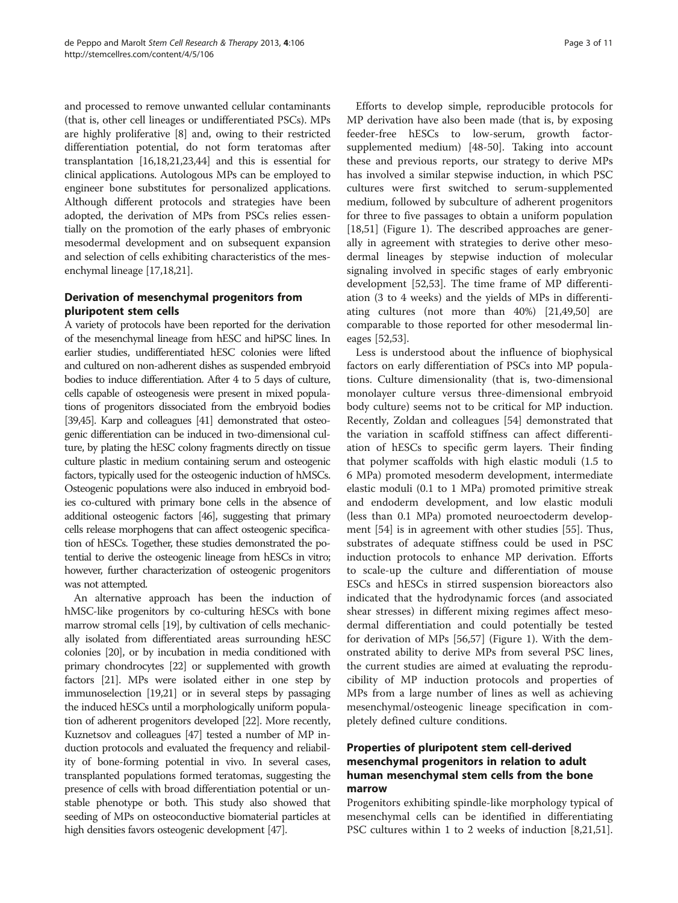and processed to remove unwanted cellular contaminants (that is, other cell lineages or undifferentiated PSCs). MPs are highly proliferative [[8](#page-8-0)] and, owing to their restricted differentiation potential, do not form teratomas after transplantation [\[16,18,21,23](#page-8-0)[,44\]](#page-9-0) and this is essential for clinical applications. Autologous MPs can be employed to engineer bone substitutes for personalized applications. Although different protocols and strategies have been adopted, the derivation of MPs from PSCs relies essentially on the promotion of the early phases of embryonic mesodermal development and on subsequent expansion and selection of cells exhibiting characteristics of the mesenchymal lineage [\[17,18,21](#page-8-0)].

# Derivation of mesenchymal progenitors from pluripotent stem cells

A variety of protocols have been reported for the derivation of the mesenchymal lineage from hESC and hiPSC lines. In earlier studies, undifferentiated hESC colonies were lifted and cultured on non-adherent dishes as suspended embryoid bodies to induce differentiation. After 4 to 5 days of culture, cells capable of osteogenesis were present in mixed populations of progenitors dissociated from the embryoid bodies [[39,45\]](#page-9-0). Karp and colleagues [\[41](#page-9-0)] demonstrated that osteogenic differentiation can be induced in two-dimensional culture, by plating the hESC colony fragments directly on tissue culture plastic in medium containing serum and osteogenic factors, typically used for the osteogenic induction of hMSCs. Osteogenic populations were also induced in embryoid bodies co-cultured with primary bone cells in the absence of additional osteogenic factors [\[46](#page-9-0)], suggesting that primary cells release morphogens that can affect osteogenic specification of hESCs. Together, these studies demonstrated the potential to derive the osteogenic lineage from hESCs in vitro; however, further characterization of osteogenic progenitors was not attempted.

An alternative approach has been the induction of hMSC-like progenitors by co-culturing hESCs with bone marrow stromal cells [[19](#page-8-0)], by cultivation of cells mechanically isolated from differentiated areas surrounding hESC colonies [\[20\]](#page-8-0), or by incubation in media conditioned with primary chondrocytes [[22](#page-8-0)] or supplemented with growth factors [\[21](#page-8-0)]. MPs were isolated either in one step by immunoselection [[19,21\]](#page-8-0) or in several steps by passaging the induced hESCs until a morphologically uniform population of adherent progenitors developed [[22](#page-8-0)]. More recently, Kuznetsov and colleagues [\[47\]](#page-9-0) tested a number of MP induction protocols and evaluated the frequency and reliability of bone-forming potential in vivo. In several cases, transplanted populations formed teratomas, suggesting the presence of cells with broad differentiation potential or unstable phenotype or both. This study also showed that seeding of MPs on osteoconductive biomaterial particles at high densities favors osteogenic development [\[47](#page-9-0)].

Efforts to develop simple, reproducible protocols for MP derivation have also been made (that is, by exposing feeder-free hESCs to low-serum, growth factorsupplemented medium) [[48-50](#page-9-0)]. Taking into account these and previous reports, our strategy to derive MPs has involved a similar stepwise induction, in which PSC cultures were first switched to serum-supplemented medium, followed by subculture of adherent progenitors for three to five passages to obtain a uniform population [[18,](#page-8-0)[51\]](#page-9-0) (Figure [1\)](#page-4-0). The described approaches are generally in agreement with strategies to derive other mesodermal lineages by stepwise induction of molecular signaling involved in specific stages of early embryonic development [[52,53\]](#page-9-0). The time frame of MP differentiation (3 to 4 weeks) and the yields of MPs in differentiating cultures (not more than 40%) [[21,](#page-8-0)[49,50\]](#page-9-0) are comparable to those reported for other mesodermal lineages [[52,53](#page-9-0)].

Less is understood about the influence of biophysical factors on early differentiation of PSCs into MP populations. Culture dimensionality (that is, two-dimensional monolayer culture versus three-dimensional embryoid body culture) seems not to be critical for MP induction. Recently, Zoldan and colleagues [[54\]](#page-9-0) demonstrated that the variation in scaffold stiffness can affect differentiation of hESCs to specific germ layers. Their finding that polymer scaffolds with high elastic moduli (1.5 to 6 MPa) promoted mesoderm development, intermediate elastic moduli (0.1 to 1 MPa) promoted primitive streak and endoderm development, and low elastic moduli (less than 0.1 MPa) promoted neuroectoderm development [\[54](#page-9-0)] is in agreement with other studies [[55\]](#page-9-0). Thus, substrates of adequate stiffness could be used in PSC induction protocols to enhance MP derivation. Efforts to scale-up the culture and differentiation of mouse ESCs and hESCs in stirred suspension bioreactors also indicated that the hydrodynamic forces (and associated shear stresses) in different mixing regimes affect mesodermal differentiation and could potentially be tested for derivation of MPs [\[56,57](#page-9-0)] (Figure [1](#page-4-0)). With the demonstrated ability to derive MPs from several PSC lines, the current studies are aimed at evaluating the reproducibility of MP induction protocols and properties of MPs from a large number of lines as well as achieving mesenchymal/osteogenic lineage specification in completely defined culture conditions.

# Properties of pluripotent stem cell-derived mesenchymal progenitors in relation to adult human mesenchymal stem cells from the bone marrow

Progenitors exhibiting spindle-like morphology typical of mesenchymal cells can be identified in differentiating PSC cultures within 1 to 2 weeks of induction [\[8,21](#page-8-0)[,51](#page-9-0)].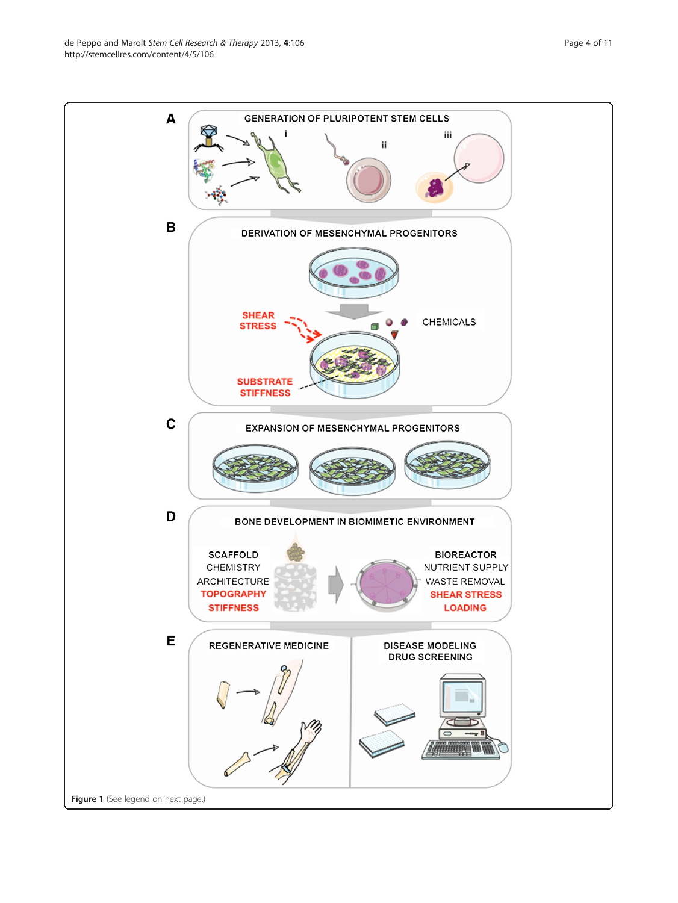de Peppo and Marolt Stem Cell Research & Therapy 2013, 4:106 Page 4 of 11 http://stemcellres.com/content/4/5/106

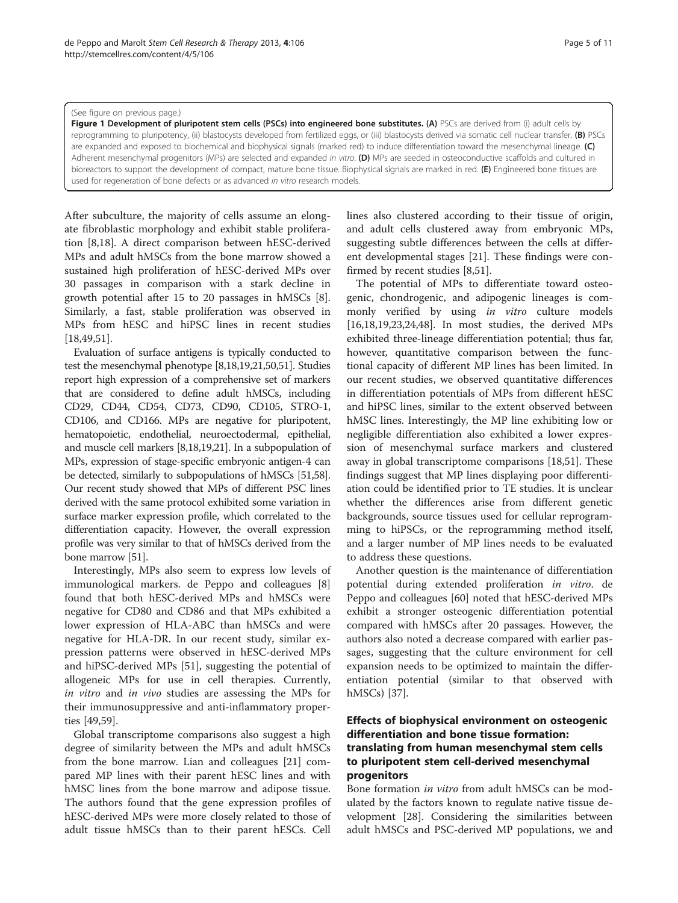#### <span id="page-4-0"></span>(See figure on previous page.)

Figure 1 Development of pluripotent stem cells (PSCs) into engineered bone substitutes. (A) PSCs are derived from (i) adult cells by reprogramming to pluripotency, (ii) blastocysts developed from fertilized eggs, or (iii) blastocysts derived via somatic cell nuclear transfer. (B) PSCs are expanded and exposed to biochemical and biophysical signals (marked red) to induce differentiation toward the mesenchymal lineage. (C) Adherent mesenchymal progenitors (MPs) are selected and expanded in vitro. (D) MPs are seeded in osteoconductive scaffolds and cultured in bioreactors to support the development of compact, mature bone tissue. Biophysical signals are marked in red. (E) Engineered bone tissues are used for regeneration of bone defects or as advanced in vitro research models.

After subculture, the majority of cells assume an elongate fibroblastic morphology and exhibit stable proliferation [\[8,18\]](#page-8-0). A direct comparison between hESC-derived MPs and adult hMSCs from the bone marrow showed a sustained high proliferation of hESC-derived MPs over 30 passages in comparison with a stark decline in growth potential after 15 to 20 passages in hMSCs [\[8](#page-8-0)]. Similarly, a fast, stable proliferation was observed in MPs from hESC and hiPSC lines in recent studies [[18,](#page-8-0)[49,51\]](#page-9-0).

Evaluation of surface antigens is typically conducted to test the mesenchymal phenotype [\[8,18,19,21](#page-8-0)[,50,51](#page-9-0)]. Studies report high expression of a comprehensive set of markers that are considered to define adult hMSCs, including CD29, CD44, CD54, CD73, CD90, CD105, STRO-1, CD106, and CD166. MPs are negative for pluripotent, hematopoietic, endothelial, neuroectodermal, epithelial, and muscle cell markers [\[8,18,19,21\]](#page-8-0). In a subpopulation of MPs, expression of stage-specific embryonic antigen-4 can be detected, similarly to subpopulations of hMSCs [\[51,58](#page-9-0)]. Our recent study showed that MPs of different PSC lines derived with the same protocol exhibited some variation in surface marker expression profile, which correlated to the differentiation capacity. However, the overall expression profile was very similar to that of hMSCs derived from the bone marrow [\[51\]](#page-9-0).

Interestingly, MPs also seem to express low levels of immunological markers. de Peppo and colleagues [\[8](#page-8-0)] found that both hESC-derived MPs and hMSCs were negative for CD80 and CD86 and that MPs exhibited a lower expression of HLA-ABC than hMSCs and were negative for HLA-DR. In our recent study, similar expression patterns were observed in hESC-derived MPs and hiPSC-derived MPs [\[51\]](#page-9-0), suggesting the potential of allogeneic MPs for use in cell therapies. Currently, in vitro and in vivo studies are assessing the MPs for their immunosuppressive and anti-inflammatory properties [[49,59](#page-9-0)].

Global transcriptome comparisons also suggest a high degree of similarity between the MPs and adult hMSCs from the bone marrow. Lian and colleagues [[21\]](#page-8-0) compared MP lines with their parent hESC lines and with hMSC lines from the bone marrow and adipose tissue. The authors found that the gene expression profiles of hESC-derived MPs were more closely related to those of adult tissue hMSCs than to their parent hESCs. Cell

lines also clustered according to their tissue of origin, and adult cells clustered away from embryonic MPs, suggesting subtle differences between the cells at different developmental stages [[21\]](#page-8-0). These findings were confirmed by recent studies [[8,](#page-8-0)[51\]](#page-9-0).

The potential of MPs to differentiate toward osteogenic, chondrogenic, and adipogenic lineages is commonly verified by using in vitro culture models [[16,18,19,23,](#page-8-0)[24,48\]](#page-9-0). In most studies, the derived MPs exhibited three-lineage differentiation potential; thus far, however, quantitative comparison between the functional capacity of different MP lines has been limited. In our recent studies, we observed quantitative differences in differentiation potentials of MPs from different hESC and hiPSC lines, similar to the extent observed between hMSC lines. Interestingly, the MP line exhibiting low or negligible differentiation also exhibited a lower expression of mesenchymal surface markers and clustered away in global transcriptome comparisons [\[18](#page-8-0)[,51\]](#page-9-0). These findings suggest that MP lines displaying poor differentiation could be identified prior to TE studies. It is unclear whether the differences arise from different genetic backgrounds, source tissues used for cellular reprogramming to hiPSCs, or the reprogramming method itself, and a larger number of MP lines needs to be evaluated to address these questions.

Another question is the maintenance of differentiation potential during extended proliferation in vitro. de Peppo and colleagues [\[60](#page-9-0)] noted that hESC-derived MPs exhibit a stronger osteogenic differentiation potential compared with hMSCs after 20 passages. However, the authors also noted a decrease compared with earlier passages, suggesting that the culture environment for cell expansion needs to be optimized to maintain the differentiation potential (similar to that observed with hMSCs) [[37\]](#page-9-0).

# Effects of biophysical environment on osteogenic differentiation and bone tissue formation: translating from human mesenchymal stem cells to pluripotent stem cell-derived mesenchymal progenitors

Bone formation in vitro from adult hMSCs can be modulated by the factors known to regulate native tissue development [\[28](#page-9-0)]. Considering the similarities between adult hMSCs and PSC-derived MP populations, we and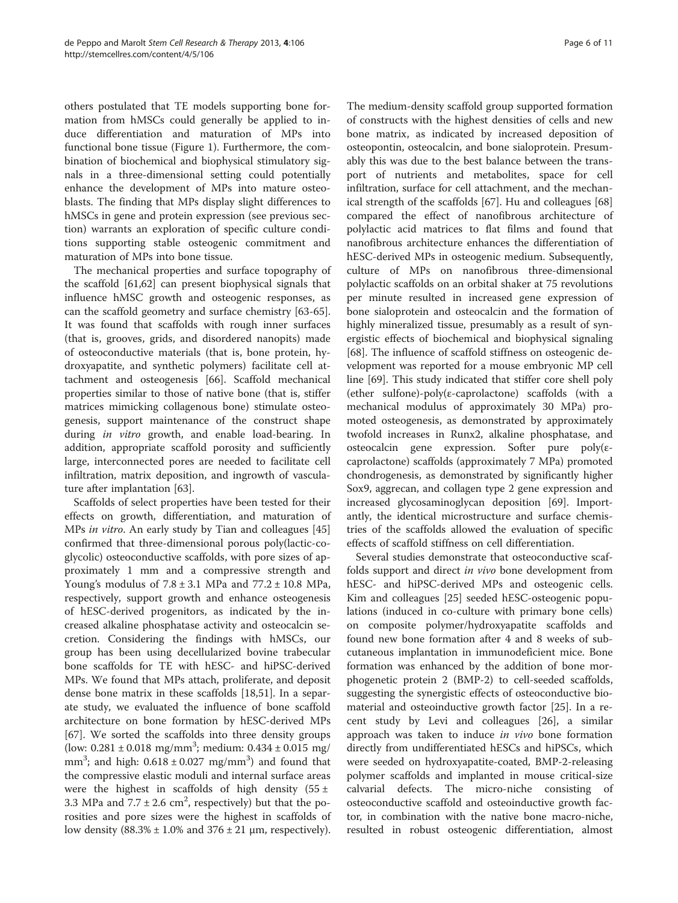others postulated that TE models supporting bone formation from hMSCs could generally be applied to induce differentiation and maturation of MPs into functional bone tissue (Figure [1](#page-4-0)). Furthermore, the combination of biochemical and biophysical stimulatory signals in a three-dimensional setting could potentially enhance the development of MPs into mature osteoblasts. The finding that MPs display slight differences to hMSCs in gene and protein expression (see previous section) warrants an exploration of specific culture conditions supporting stable osteogenic commitment and maturation of MPs into bone tissue.

The mechanical properties and surface topography of the scaffold [\[61,62\]](#page-9-0) can present biophysical signals that influence hMSC growth and osteogenic responses, as can the scaffold geometry and surface chemistry [\[63-65](#page-10-0)]. It was found that scaffolds with rough inner surfaces (that is, grooves, grids, and disordered nanopits) made of osteoconductive materials (that is, bone protein, hydroxyapatite, and synthetic polymers) facilitate cell attachment and osteogenesis [[66](#page-10-0)]. Scaffold mechanical properties similar to those of native bone (that is, stiffer matrices mimicking collagenous bone) stimulate osteogenesis, support maintenance of the construct shape during in vitro growth, and enable load-bearing. In addition, appropriate scaffold porosity and sufficiently large, interconnected pores are needed to facilitate cell infiltration, matrix deposition, and ingrowth of vasculature after implantation [[63\]](#page-10-0).

Scaffolds of select properties have been tested for their effects on growth, differentiation, and maturation of MPs in vitro. An early study by Tian and colleagues [[45](#page-9-0)] confirmed that three-dimensional porous poly(lactic-coglycolic) osteoconductive scaffolds, with pore sizes of approximately 1 mm and a compressive strength and Young's modulus of  $7.8 \pm 3.1$  MPa and  $77.2 \pm 10.8$  MPa, respectively, support growth and enhance osteogenesis of hESC-derived progenitors, as indicated by the increased alkaline phosphatase activity and osteocalcin secretion. Considering the findings with hMSCs, our group has been using decellularized bovine trabecular bone scaffolds for TE with hESC- and hiPSC-derived MPs. We found that MPs attach, proliferate, and deposit dense bone matrix in these scaffolds [[18,](#page-8-0)[51\]](#page-9-0). In a separate study, we evaluated the influence of bone scaffold architecture on bone formation by hESC-derived MPs [[67\]](#page-10-0). We sorted the scaffolds into three density groups (low:  $0.281 \pm 0.018$  mg/mm<sup>3</sup>; medium:  $0.434 \pm 0.015$  mg/ mm<sup>3</sup>; and high:  $0.618 \pm 0.027$  mg/mm<sup>3</sup>) and found that the compressive elastic moduli and internal surface areas were the highest in scaffolds of high density  $(55 \pm$ 3.3 MPa and  $7.7 \pm 2.6$  cm<sup>2</sup>, respectively) but that the porosities and pore sizes were the highest in scaffolds of low density  $(88.3\% \pm 1.0\% \text{ and } 376 \pm 21 \text{ µm}$ , respectively).

The medium-density scaffold group supported formation of constructs with the highest densities of cells and new bone matrix, as indicated by increased deposition of osteopontin, osteocalcin, and bone sialoprotein. Presumably this was due to the best balance between the transport of nutrients and metabolites, space for cell infiltration, surface for cell attachment, and the mechanical strength of the scaffolds [[67\]](#page-10-0). Hu and colleagues [[68](#page-10-0)] compared the effect of nanofibrous architecture of polylactic acid matrices to flat films and found that nanofibrous architecture enhances the differentiation of hESC-derived MPs in osteogenic medium. Subsequently, culture of MPs on nanofibrous three-dimensional polylactic scaffolds on an orbital shaker at 75 revolutions per minute resulted in increased gene expression of bone sialoprotein and osteocalcin and the formation of highly mineralized tissue, presumably as a result of synergistic effects of biochemical and biophysical signaling [[68\]](#page-10-0). The influence of scaffold stiffness on osteogenic development was reported for a mouse embryonic MP cell line [\[69\]](#page-10-0). This study indicated that stiffer core shell poly (ether sulfone)-poly(ε-caprolactone) scaffolds (with a mechanical modulus of approximately 30 MPa) promoted osteogenesis, as demonstrated by approximately twofold increases in Runx2, alkaline phosphatase, and osteocalcin gene expression. Softer pure poly(εcaprolactone) scaffolds (approximately 7 MPa) promoted chondrogenesis, as demonstrated by significantly higher Sox9, aggrecan, and collagen type 2 gene expression and increased glycosaminoglycan deposition [[69\]](#page-10-0). Importantly, the identical microstructure and surface chemistries of the scaffolds allowed the evaluation of specific effects of scaffold stiffness on cell differentiation.

Several studies demonstrate that osteoconductive scaffolds support and direct in vivo bone development from hESC- and hiPSC-derived MPs and osteogenic cells. Kim and colleagues [\[25\]](#page-9-0) seeded hESC-osteogenic populations (induced in co-culture with primary bone cells) on composite polymer/hydroxyapatite scaffolds and found new bone formation after 4 and 8 weeks of subcutaneous implantation in immunodeficient mice. Bone formation was enhanced by the addition of bone morphogenetic protein 2 (BMP-2) to cell-seeded scaffolds, suggesting the synergistic effects of osteoconductive biomaterial and osteoinductive growth factor [\[25\]](#page-9-0). In a recent study by Levi and colleagues [\[26\]](#page-9-0), a similar approach was taken to induce in vivo bone formation directly from undifferentiated hESCs and hiPSCs, which were seeded on hydroxyapatite-coated, BMP-2-releasing polymer scaffolds and implanted in mouse critical-size calvarial defects. The micro-niche consisting of osteoconductive scaffold and osteoinductive growth factor, in combination with the native bone macro-niche, resulted in robust osteogenic differentiation, almost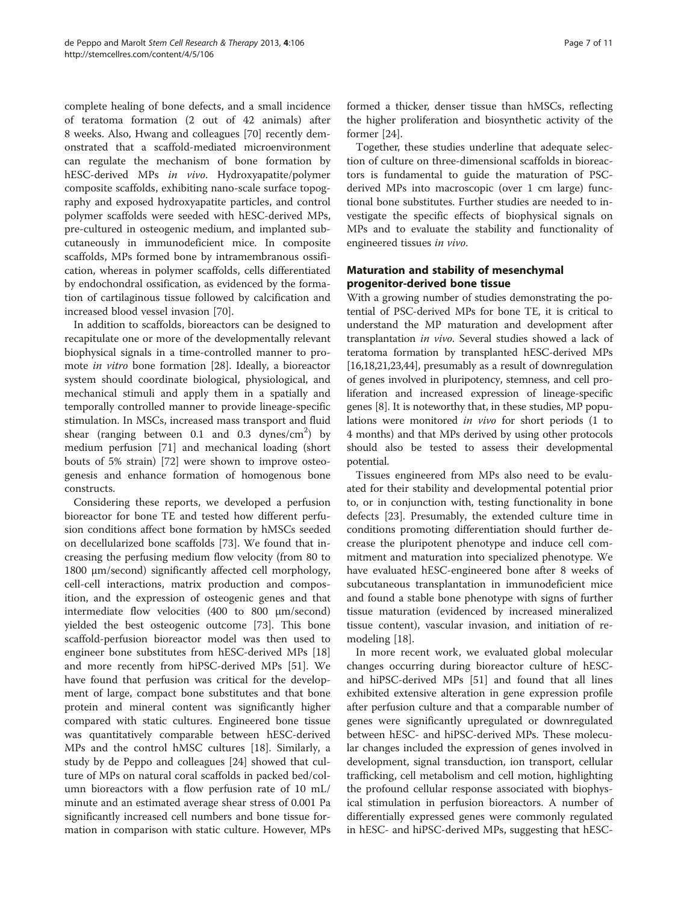complete healing of bone defects, and a small incidence of teratoma formation (2 out of 42 animals) after 8 weeks. Also, Hwang and colleagues [\[70\]](#page-10-0) recently demonstrated that a scaffold-mediated microenvironment can regulate the mechanism of bone formation by hESC-derived MPs in vivo. Hydroxyapatite/polymer composite scaffolds, exhibiting nano-scale surface topography and exposed hydroxyapatite particles, and control polymer scaffolds were seeded with hESC-derived MPs, pre-cultured in osteogenic medium, and implanted subcutaneously in immunodeficient mice. In composite scaffolds, MPs formed bone by intramembranous ossification, whereas in polymer scaffolds, cells differentiated by endochondral ossification, as evidenced by the formation of cartilaginous tissue followed by calcification and increased blood vessel invasion [\[70](#page-10-0)].

In addition to scaffolds, bioreactors can be designed to recapitulate one or more of the developmentally relevant biophysical signals in a time-controlled manner to promote in vitro bone formation [\[28](#page-9-0)]. Ideally, a bioreactor system should coordinate biological, physiological, and mechanical stimuli and apply them in a spatially and temporally controlled manner to provide lineage-specific stimulation. In MSCs, increased mass transport and fluid shear (ranging between 0.1 and 0.3 dynes/ $\rm cm^2)$  by medium perfusion [\[71\]](#page-10-0) and mechanical loading (short bouts of 5% strain) [[72](#page-10-0)] were shown to improve osteogenesis and enhance formation of homogenous bone constructs.

Considering these reports, we developed a perfusion bioreactor for bone TE and tested how different perfusion conditions affect bone formation by hMSCs seeded on decellularized bone scaffolds [\[73](#page-10-0)]. We found that increasing the perfusing medium flow velocity (from 80 to 1800 μm/second) significantly affected cell morphology, cell-cell interactions, matrix production and composition, and the expression of osteogenic genes and that intermediate flow velocities (400 to 800 μm/second) yielded the best osteogenic outcome [[73\]](#page-10-0). This bone scaffold-perfusion bioreactor model was then used to engineer bone substitutes from hESC-derived MPs [[18](#page-8-0)] and more recently from hiPSC-derived MPs [\[51\]](#page-9-0). We have found that perfusion was critical for the development of large, compact bone substitutes and that bone protein and mineral content was significantly higher compared with static cultures. Engineered bone tissue was quantitatively comparable between hESC-derived MPs and the control hMSC cultures [\[18](#page-8-0)]. Similarly, a study by de Peppo and colleagues [\[24](#page-9-0)] showed that culture of MPs on natural coral scaffolds in packed bed/column bioreactors with a flow perfusion rate of 10 mL/ minute and an estimated average shear stress of 0.001 Pa significantly increased cell numbers and bone tissue formation in comparison with static culture. However, MPs

formed a thicker, denser tissue than hMSCs, reflecting the higher proliferation and biosynthetic activity of the former [[24\]](#page-9-0).

Together, these studies underline that adequate selection of culture on three-dimensional scaffolds in bioreactors is fundamental to guide the maturation of PSCderived MPs into macroscopic (over 1 cm large) functional bone substitutes. Further studies are needed to investigate the specific effects of biophysical signals on MPs and to evaluate the stability and functionality of engineered tissues in vivo.

# Maturation and stability of mesenchymal progenitor-derived bone tissue

With a growing number of studies demonstrating the potential of PSC-derived MPs for bone TE, it is critical to understand the MP maturation and development after transplantation in vivo. Several studies showed a lack of teratoma formation by transplanted hESC-derived MPs [[16](#page-8-0),[18,21,23,](#page-8-0)[44](#page-9-0)], presumably as a result of downregulation of genes involved in pluripotency, stemness, and cell proliferation and increased expression of lineage-specific genes [[8](#page-8-0)]. It is noteworthy that, in these studies, MP populations were monitored in vivo for short periods (1 to 4 months) and that MPs derived by using other protocols should also be tested to assess their developmental potential.

Tissues engineered from MPs also need to be evaluated for their stability and developmental potential prior to, or in conjunction with, testing functionality in bone defects [[23\]](#page-8-0). Presumably, the extended culture time in conditions promoting differentiation should further decrease the pluripotent phenotype and induce cell commitment and maturation into specialized phenotype. We have evaluated hESC-engineered bone after 8 weeks of subcutaneous transplantation in immunodeficient mice and found a stable bone phenotype with signs of further tissue maturation (evidenced by increased mineralized tissue content), vascular invasion, and initiation of remodeling [[18\]](#page-8-0).

In more recent work, we evaluated global molecular changes occurring during bioreactor culture of hESCand hiPSC-derived MPs [[51\]](#page-9-0) and found that all lines exhibited extensive alteration in gene expression profile after perfusion culture and that a comparable number of genes were significantly upregulated or downregulated between hESC- and hiPSC-derived MPs. These molecular changes included the expression of genes involved in development, signal transduction, ion transport, cellular trafficking, cell metabolism and cell motion, highlighting the profound cellular response associated with biophysical stimulation in perfusion bioreactors. A number of differentially expressed genes were commonly regulated in hESC- and hiPSC-derived MPs, suggesting that hESC-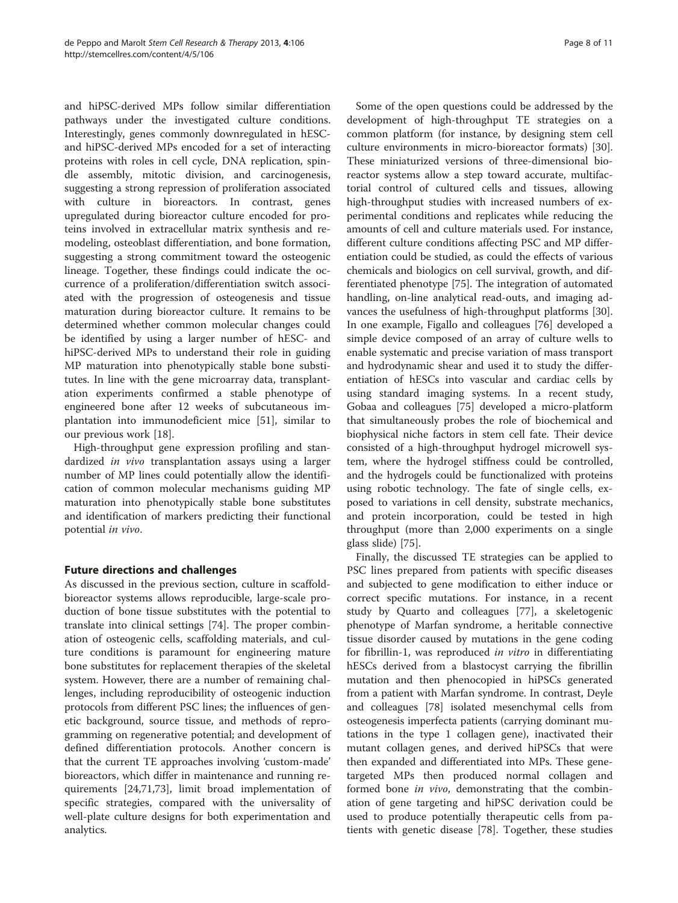and hiPSC-derived MPs follow similar differentiation pathways under the investigated culture conditions. Interestingly, genes commonly downregulated in hESCand hiPSC-derived MPs encoded for a set of interacting proteins with roles in cell cycle, DNA replication, spindle assembly, mitotic division, and carcinogenesis, suggesting a strong repression of proliferation associated with culture in bioreactors. In contrast, genes upregulated during bioreactor culture encoded for proteins involved in extracellular matrix synthesis and remodeling, osteoblast differentiation, and bone formation, suggesting a strong commitment toward the osteogenic lineage. Together, these findings could indicate the occurrence of a proliferation/differentiation switch associated with the progression of osteogenesis and tissue maturation during bioreactor culture. It remains to be determined whether common molecular changes could be identified by using a larger number of hESC- and hiPSC-derived MPs to understand their role in guiding MP maturation into phenotypically stable bone substitutes. In line with the gene microarray data, transplantation experiments confirmed a stable phenotype of engineered bone after 12 weeks of subcutaneous implantation into immunodeficient mice [[51](#page-9-0)], similar to our previous work [\[18\]](#page-8-0).

High-throughput gene expression profiling and standardized in vivo transplantation assays using a larger number of MP lines could potentially allow the identification of common molecular mechanisms guiding MP maturation into phenotypically stable bone substitutes and identification of markers predicting their functional potential in vivo.

# Future directions and challenges

As discussed in the previous section, culture in scaffoldbioreactor systems allows reproducible, large-scale production of bone tissue substitutes with the potential to translate into clinical settings [\[74\]](#page-10-0). The proper combination of osteogenic cells, scaffolding materials, and culture conditions is paramount for engineering mature bone substitutes for replacement therapies of the skeletal system. However, there are a number of remaining challenges, including reproducibility of osteogenic induction protocols from different PSC lines; the influences of genetic background, source tissue, and methods of reprogramming on regenerative potential; and development of defined differentiation protocols. Another concern is that the current TE approaches involving 'custom-made' bioreactors, which differ in maintenance and running requirements [\[24](#page-9-0)[,71,73\]](#page-10-0), limit broad implementation of specific strategies, compared with the universality of well-plate culture designs for both experimentation and analytics.

Some of the open questions could be addressed by the development of high-throughput TE strategies on a common platform (for instance, by designing stem cell culture environments in micro-bioreactor formats) [\[30](#page-9-0)]. These miniaturized versions of three-dimensional bioreactor systems allow a step toward accurate, multifactorial control of cultured cells and tissues, allowing high-throughput studies with increased numbers of experimental conditions and replicates while reducing the amounts of cell and culture materials used. For instance, different culture conditions affecting PSC and MP differentiation could be studied, as could the effects of various chemicals and biologics on cell survival, growth, and differentiated phenotype [[75\]](#page-10-0). The integration of automated handling, on-line analytical read-outs, and imaging advances the usefulness of high-throughput platforms [\[30](#page-9-0)]. In one example, Figallo and colleagues [[76\]](#page-10-0) developed a simple device composed of an array of culture wells to enable systematic and precise variation of mass transport and hydrodynamic shear and used it to study the differentiation of hESCs into vascular and cardiac cells by using standard imaging systems. In a recent study, Gobaa and colleagues [\[75\]](#page-10-0) developed a micro-platform that simultaneously probes the role of biochemical and biophysical niche factors in stem cell fate. Their device consisted of a high-throughput hydrogel microwell system, where the hydrogel stiffness could be controlled, and the hydrogels could be functionalized with proteins using robotic technology. The fate of single cells, exposed to variations in cell density, substrate mechanics, and protein incorporation, could be tested in high throughput (more than 2,000 experiments on a single glass slide) [[75\]](#page-10-0).

Finally, the discussed TE strategies can be applied to PSC lines prepared from patients with specific diseases and subjected to gene modification to either induce or correct specific mutations. For instance, in a recent study by Quarto and colleagues [[77](#page-10-0)], a skeletogenic phenotype of Marfan syndrome, a heritable connective tissue disorder caused by mutations in the gene coding for fibrillin-1, was reproduced in vitro in differentiating hESCs derived from a blastocyst carrying the fibrillin mutation and then phenocopied in hiPSCs generated from a patient with Marfan syndrome. In contrast, Deyle and colleagues [[78\]](#page-10-0) isolated mesenchymal cells from osteogenesis imperfecta patients (carrying dominant mutations in the type 1 collagen gene), inactivated their mutant collagen genes, and derived hiPSCs that were then expanded and differentiated into MPs. These genetargeted MPs then produced normal collagen and formed bone *in vivo*, demonstrating that the combination of gene targeting and hiPSC derivation could be used to produce potentially therapeutic cells from patients with genetic disease [[78\]](#page-10-0). Together, these studies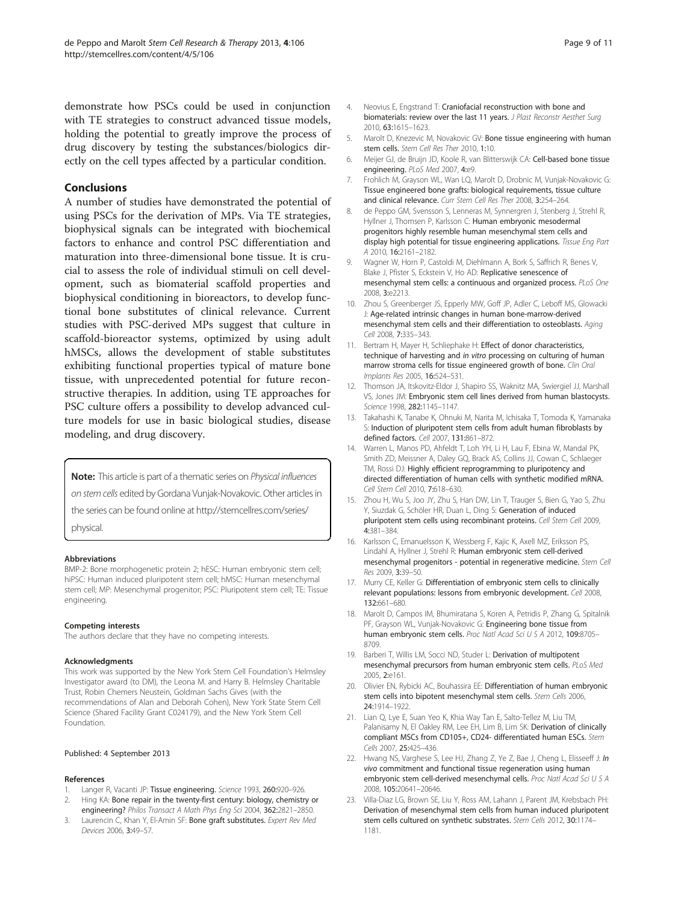<span id="page-8-0"></span>demonstrate how PSCs could be used in conjunction with TE strategies to construct advanced tissue models, holding the potential to greatly improve the process of drug discovery by testing the substances/biologics directly on the cell types affected by a particular condition.

### **Conclusions**

A number of studies have demonstrated the potential of using PSCs for the derivation of MPs. Via TE strategies, biophysical signals can be integrated with biochemical factors to enhance and control PSC differentiation and maturation into three-dimensional bone tissue. It is crucial to assess the role of individual stimuli on cell development, such as biomaterial scaffold properties and biophysical conditioning in bioreactors, to develop functional bone substitutes of clinical relevance. Current studies with PSC-derived MPs suggest that culture in scaffold-bioreactor systems, optimized by using adult hMSCs, allows the development of stable substitutes exhibiting functional properties typical of mature bone tissue, with unprecedented potential for future reconstructive therapies. In addition, using TE approaches for PSC culture offers a possibility to develop advanced culture models for use in basic biological studies, disease modeling, and drug discovery.

Note: This article is part of a thematic series on Physical influences

on stem cells edited by Gordana Vunjak-Novakovic. Other articles in

the series can be found online at [http://stemcellres.com/series/](http://stemcellres.com/series/physical)

[physical](http://stemcellres.com/series/physical).

#### Abbreviations

BMP-2: Bone morphogenetic protein 2; hESC: Human embryonic stem cell; hiPSC: Human induced pluripotent stem cell; hMSC: Human mesenchymal stem cell; MP: Mesenchymal progenitor; PSC: Pluripotent stem cell; TE: Tissue engineering.

#### Competing interests

The authors declare that they have no competing interests.

#### Acknowledgments

This work was supported by the New York Stem Cell Foundation's Helmsley Investigator award (to DM), the Leona M. and Harry B. Helmsley Charitable Trust, Robin Chemers Neustein, Goldman Sachs Gives (with the recommendations of Alan and Deborah Cohen), New York State Stem Cell Science (Shared Facility Grant C024179), and the New York Stem Cell Foundation.

### Published: 4 September 2013

#### References

- 1. Langer R, Vacanti JP: Tissue engineering. Science 1993, 260:920-926.
- 2. Hing KA: Bone repair in the twenty-first century: biology, chemistry or engineering? Philos Transact A Math Phys Eng Sci 2004, 362:2821–2850.
- 3. Laurencin C, Khan Y, El-Amin SF: Bone graft substitutes. Expert Rev Med Devices 2006, 3:49–57.
- 4. Neovius E, Engstrand T: Craniofacial reconstruction with bone and biomaterials: review over the last 11 years. J Plast Reconstr Aesthet Surg 2010, 63:1615–1623.
- Marolt D, Knezevic M, Novakovic GV: Bone tissue engineering with human stem cells. Stem Cell Res Ther 2010, 1:10.
- 6. Meijer GJ, de Bruijn JD, Koole R, van Blitterswijk CA: Cell-based bone tissue engineering. PLoS Med 2007, 4:e9.
- 7. Frohlich M, Grayson WL, Wan LQ, Marolt D, Drobnic M, Vunjak-Novakovic G: Tissue engineered bone grafts: biological requirements, tissue culture and clinical relevance. Curr Stem Cell Res Ther 2008, 3:254–264.
- 8. de Peppo GM, Svensson S, Lenneras M, Synnergren J, Stenberg J, Strehl R, Hyllner J, Thomsen P, Karlsson C: Human embryonic mesodermal progenitors highly resemble human mesenchymal stem cells and display high potential for tissue engineering applications. Tissue Eng Part A 2010, 16:2161–2182.
- 9. Wagner W, Horn P, Castoldi M, Diehlmann A, Bork S, Saffrich R, Benes V, Blake J, Pfister S, Eckstein V, Ho AD: Replicative senescence of mesenchymal stem cells: a continuous and organized process. PLoS One 2008, 3:e2213.
- 10. Zhou S, Greenberger JS, Epperly MW, Goff JP, Adler C, Leboff MS, Glowacki J: Age-related intrinsic changes in human bone-marrow-derived mesenchymal stem cells and their differentiation to osteoblasts. Aging Cell 2008, 7:335–343.
- 11. Bertram H, Mayer H, Schliephake H: Effect of donor characteristics, technique of harvesting and in vitro processing on culturing of human marrow stroma cells for tissue engineered growth of bone. Clin Oral Implants Res 2005, 16:524–531.
- 12. Thomson JA, Itskovitz-Eldor J, Shapiro SS, Waknitz MA, Swiergiel JJ, Marshall VS, Jones JM: Embryonic stem cell lines derived from human blastocysts. Science 1998, 282:1145-1147.
- 13. Takahashi K, Tanabe K, Ohnuki M, Narita M, Ichisaka T, Tomoda K, Yamanaka S: Induction of pluripotent stem cells from adult human fibroblasts by defined factors. Cell 2007, 131:861–872.
- 14. Warren L, Manos PD, Ahfeldt T, Loh YH, Li H, Lau F, Ebina W, Mandal PK, Smith ZD, Meissner A, Daley GQ, Brack AS, Collins JJ, Cowan C, Schlaeger TM, Rossi DJ: Highly efficient reprogramming to pluripotency and directed differentiation of human cells with synthetic modified mRNA. Cell Stem Cell 2010, 7:618–630.
- 15. Zhou H, Wu S, Joo JY, Zhu S, Han DW, Lin T, Trauger S, Bien G, Yao S, Zhu Y, Siuzdak G, Schöler HR, Duan L, Ding S: Generation of induced pluripotent stem cells using recombinant proteins. Cell Stem Cell 2009, 4:381–384.
- 16. Karlsson C, Emanuelsson K, Wessberg F, Kajic K, Axell MZ, Eriksson PS, Lindahl A, Hyllner J, Strehl R: Human embryonic stem cell-derived mesenchymal progenitors - potential in regenerative medicine. Stem Cell Res 2009, 3:39–50.
- 17. Murry CE, Keller G: Differentiation of embryonic stem cells to clinically relevant populations: lessons from embryonic development. Cell 2008, 132:661–680.
- 18. Marolt D, Campos IM, Bhumiratana S, Koren A, Petridis P, Zhang G, Spitalnik PF, Grayson WL, Vunjak-Novakovic G: Engineering bone tissue from human embryonic stem cells. Proc Natl Acad Sci U S A 2012, 109:8705-8709.
- 19. Barberi T, Willis LM, Socci ND, Studer L: Derivation of multipotent mesenchymal precursors from human embryonic stem cells. PLoS Med 2005, 2:e161.
- 20. Olivier EN, Rybicki AC, Bouhassira EE: Differentiation of human embryonic stem cells into bipotent mesenchymal stem cells. Stem Cells 2006, 24:1914–1922.
- 21. Lian Q, Lye E, Suan Yeo K, Khia Way Tan E, Salto-Tellez M, Liu TM, Palanisamy N, El Oakley RM, Lee EH, Lim B, Lim SK: Derivation of clinically compliant MSCs from CD105+, CD24- differentiated human ESCs. Stem Cells 2007, 25:425–436.
- 22. Hwang NS, Varghese S, Lee HJ, Zhang Z, Ye Z, Bae J, Cheng L, Elisseeff J: In vivo commitment and functional tissue regeneration using human embryonic stem cell-derived mesenchymal cells. Proc Natl Acad Sci U S A 2008, 105:20641–20646.
- 23. Villa-Diaz LG, Brown SE, Liu Y, Ross AM, Lahann J, Parent JM, Krebsbach PH: Derivation of mesenchymal stem cells from human induced pluripotent stem cells cultured on synthetic substrates. Stem Cells 2012, 30:1174– 1181.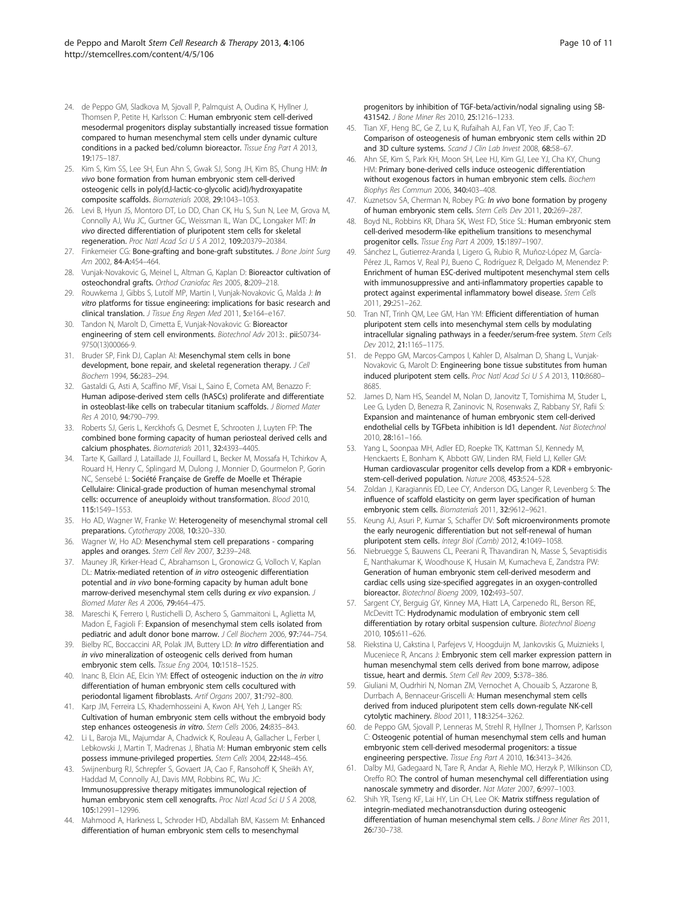- <span id="page-9-0"></span>24. de Peppo GM, Sladkova M, Sjovall P, Palmquist A, Oudina K, Hyllner J, Thomsen P, Petite H, Karlsson C: Human embryonic stem cell-derived mesodermal progenitors display substantially increased tissue formation compared to human mesenchymal stem cells under dynamic culture conditions in a packed bed/column bioreactor. Tissue Eng Part A 2013, 19:175–187.
- 25. Kim S, Kim SS, Lee SH, Eun Ahn S, Gwak SJ, Song JH, Kim BS, Chung HM: In vivo bone formation from human embryonic stem cell-derived osteogenic cells in poly(d,l-lactic-co-glycolic acid)/hydroxyapatite composite scaffolds. Biomaterials 2008, 29:1043–1053.
- 26. Levi B, Hyun JS, Montoro DT, Lo DD, Chan CK, Hu S, Sun N, Lee M, Grova M, Connolly AJ, Wu JC, Gurtner GC, Weissman IL, Wan DC, Longaker MT: In vivo directed differentiation of pluripotent stem cells for skeletal regeneration. Proc Natl Acad Sci U S A 2012, 109:20379–20384.
- 27. Finkemeier CG: Bone-grafting and bone-graft substitutes. J Bone Joint Surg Am 2002, 84-A:454–464.
- 28. Vunjak-Novakovic G, Meinel L, Altman G, Kaplan D: Bioreactor cultivation of osteochondral grafts. Orthod Craniofac Res 2005, 8:209–218.
- 29. Rouwkema J, Gibbs S, Lutolf MP, Martin I, Vunjak-Novakovic G, Malda J: *In* vitro platforms for tissue engineering: implications for basic research and clinical translation. J Tissue Eng Regen Med 2011, 5:e164–e167.
- 30. Tandon N, Marolt D, Cimetta E, Vunjak-Novakovic G: Bioreactor engineering of stem cell environments. Biotechnol Adv 2013: . pii:S0734-9750(13)00066-9.
- 31. Bruder SP, Fink DJ, Caplan AI: Mesenchymal stem cells in bone development, bone repair, and skeletal regeneration therapy. J Cell Biochem 1994, 56:283–294.
- 32. Gastaldi G, Asti A, Scaffino MF, Visai L, Saino E, Cometa AM, Benazzo F: Human adipose-derived stem cells (hASCs) proliferate and differentiate in osteoblast-like cells on trabecular titanium scaffolds. J Biomed Mater Res A 2010, 94:790–799.
- 33. Roberts SJ, Geris L, Kerckhofs G, Desmet E, Schrooten J, Luyten FP: The combined bone forming capacity of human periosteal derived cells and calcium phosphates. Biomaterials 2011, 32:4393–4405.
- 34. Tarte K, Gaillard J, Lataillade JJ, Fouillard L, Becker M, Mossafa H, Tchirkov A, Rouard H, Henry C, Splingard M, Dulong J, Monnier D, Gourmelon P, Gorin NC, Sensebé L: Société Française de Greffe de Moelle et Thérapie Cellulaire: Clinical-grade production of human mesenchymal stromal cells: occurrence of aneuploidy without transformation. Blood 2010, 115:1549–1553.
- 35. Ho AD, Wagner W, Franke W: Heterogeneity of mesenchymal stromal cell preparations. Cytotherapy 2008, 10:320–330.
- 36. Wagner W, Ho AD: Mesenchymal stem cell preparations comparing apples and oranges. Stem Cell Rev 2007, 3:239–248.
- 37. Mauney JR, Kirker-Head C, Abrahamson L, Gronowicz G, Volloch V, Kaplan DL: Matrix-mediated retention of in vitro osteogenic differentiation potential and in vivo bone-forming capacity by human adult bone marrow-derived mesenchymal stem cells during ex vivo expansion. J Biomed Mater Res A 2006, 79:464–475.
- 38. Mareschi K, Ferrero I, Rustichelli D, Aschero S, Gammaitoni L, Aglietta M, Madon E, Fagioli F: Expansion of mesenchymal stem cells isolated from pediatric and adult donor bone marrow. J Cell Biochem 2006, 97:744–754.
- 39. Bielby RC, Boccaccini AR, Polak JM, Buttery LD: In vitro differentiation and in vivo mineralization of osteogenic cells derived from human embryonic stem cells. Tissue Eng 2004, 10:1518–1525.
- 40. Inanc B, Elcin AE, Elcin YM: Effect of osteogenic induction on the in vitro differentiation of human embryonic stem cells cocultured with periodontal ligament fibroblasts. Artif Organs 2007, 31:792–800.
- 41. Karp JM, Ferreira LS, Khademhosseini A, Kwon AH, Yeh J, Langer RS: Cultivation of human embryonic stem cells without the embryoid body step enhances osteogenesis in vitro. Stem Cells 2006, 24:835–843.
- 42. Li L, Baroja ML, Majumdar A, Chadwick K, Rouleau A, Gallacher L, Ferber I, Lebkowski J, Martin T, Madrenas J, Bhatia M: Human embryonic stem cells possess immune-privileged properties. Stem Cells 2004, 22:448–456.
- 43. Swijnenburg RJ, Schrepfer S, Govaert JA, Cao F, Ransohoff K, Sheikh AY, Haddad M, Connolly AJ, Davis MM, Robbins RC, Wu JC: Immunosuppressive therapy mitigates immunological rejection of human embryonic stem cell xenografts. Proc Natl Acad Sci U S A 2008, 105:12991–12996.
- 44. Mahmood A, Harkness L, Schroder HD, Abdallah BM, Kassem M: Enhanced differentiation of human embryonic stem cells to mesenchymal

progenitors by inhibition of TGF-beta/activin/nodal signaling using SB-431542. J Bone Miner Res 2010, 25:1216–1233.

- 45. Tian XF, Heng BC, Ge Z, Lu K, Rufaihah AJ, Fan VT, Yeo JF, Cao T: Comparison of osteogenesis of human embryonic stem cells within 2D and 3D culture systems. Scand J Clin Lab Invest 2008, 68:58-67.
- 46. Ahn SE, Kim S, Park KH, Moon SH, Lee HJ, Kim GJ, Lee YJ, Cha KY, Chung HM: Primary bone-derived cells induce osteogenic differentiation without exogenous factors in human embryonic stem cells. Biochem Biophys Res Commun 2006, 340:403–408.
- 47. Kuznetsov SA, Cherman N, Robey PG: In vivo bone formation by progeny of human embryonic stem cells. Stem Cells Dev 2011, 20:269–287.
- 48. Boyd NL, Robbins KR, Dhara SK, West FD, Stice SL: Human embryonic stem cell-derived mesoderm-like epithelium transitions to mesenchymal progenitor cells. Tissue Eng Part A 2009, 15:1897–1907.
- 49. Sánchez L, Gutierrez-Aranda I, Ligero G, Rubio R, Muñoz-López M, García-Pérez JL, Ramos V, Real PJ, Bueno C, Rodríguez R, Delgado M, Menendez P: Enrichment of human ESC-derived multipotent mesenchymal stem cells with immunosuppressive and anti-inflammatory properties capable to protect against experimental inflammatory bowel disease. Stem Cells 2011, 29:251–262.
- 50. Tran NT, Trinh QM, Lee GM, Han YM: Efficient differentiation of human pluripotent stem cells into mesenchymal stem cells by modulating intracellular signaling pathways in a feeder/serum-free system. Stem Cells Dev 2012, 21:1165–1175.
- 51. de Peppo GM, Marcos-Campos I, Kahler D, Alsalman D, Shang L, Vunjak-Novakovic G, Marolt D: Engineering bone tissue substitutes from human induced pluripotent stem cells. Proc Natl Acad Sci U S A 2013, 110:8680-8685.
- 52. James D, Nam HS, Seandel M, Nolan D, Janovitz T, Tomishima M, Studer L, Lee G, Lyden D, Benezra R, Zaninovic N, Rosenwaks Z, Rabbany SY, Rafii S: Expansion and maintenance of human embryonic stem cell-derived endothelial cells by TGFbeta inhibition is Id1 dependent. Nat Biotechnol 2010, 28:161–166.
- 53. Yang L, Soonpaa MH, Adler ED, Roepke TK, Kattman SJ, Kennedy M, Henckaerts E, Bonham K, Abbott GW, Linden RM, Field LJ, Keller GM: Human cardiovascular progenitor cells develop from a KDR + embryonicstem-cell-derived population. Nature 2008, 453:524–528.
- 54. Zoldan J, Karagiannis ED, Lee CY, Anderson DG, Langer R, Levenberg S: The influence of scaffold elasticity on germ layer specification of human embryonic stem cells. Biomaterials 2011, 32:9612–9621.
- 55. Keung AJ, Asuri P, Kumar S, Schaffer DV: Soft microenvironments promote the early neurogenic differentiation but not self-renewal of human pluripotent stem cells. Integr Biol (Camb) 2012, 4:1049–1058.
- 56. Niebruegge S, Bauwens CL, Peerani R, Thavandiran N, Masse S, Sevaptisidis E, Nanthakumar K, Woodhouse K, Husain M, Kumacheva E, Zandstra PW: Generation of human embryonic stem cell-derived mesoderm and cardiac cells using size-specified aggregates in an oxygen-controlled bioreactor. Biotechnol Bioeng 2009, 102:493–507.
- 57. Sargent CY, Berguig GY, Kinney MA, Hiatt LA, Carpenedo RL, Berson RE, McDevitt TC: Hydrodynamic modulation of embryonic stem cell differentiation by rotary orbital suspension culture. Biotechnol Bioeng 2010, 105:611–626.
- Riekstina U, Cakstina I, Parfejevs V, Hoogduijn M, Jankovskis G, Muiznieks I, Muceniece R, Ancans J: Embryonic stem cell marker expression pattern in human mesenchymal stem cells derived from bone marrow, adipose tissue, heart and dermis. Stem Cell Rev 2009, 5:378–386.
- 59. Giuliani M, Oudrhiri N, Noman ZM, Vernochet A, Chouaib S, Azzarone B, Durrbach A, Bennaceur-Griscelli A: Human mesenchymal stem cells derived from induced pluripotent stem cells down-regulate NK-cell cytolytic machinery. Blood 2011, 118:3254–3262.
- 60. de Peppo GM, Sjovall P, Lenneras M, Strehl R, Hyllner J, Thomsen P, Karlsson C: Osteogenic potential of human mesenchymal stem cells and human embryonic stem cell-derived mesodermal progenitors: a tissue engineering perspective. Tissue Eng Part A 2010, 16:3413-3426.
- 61. Dalby MJ, Gadegaard N, Tare R, Andar A, Riehle MO, Herzyk P, Wilkinson CD, Oreffo RO: The control of human mesenchymal cell differentiation using nanoscale symmetry and disorder. Nat Mater 2007, 6:997–1003.
- 62. Shih YR, Tseng KF, Lai HY, Lin CH, Lee OK: Matrix stiffness regulation of integrin-mediated mechanotransduction during osteogenic differentiation of human mesenchymal stem cells. *J Bone Miner Res* 2011, 26:730–738.